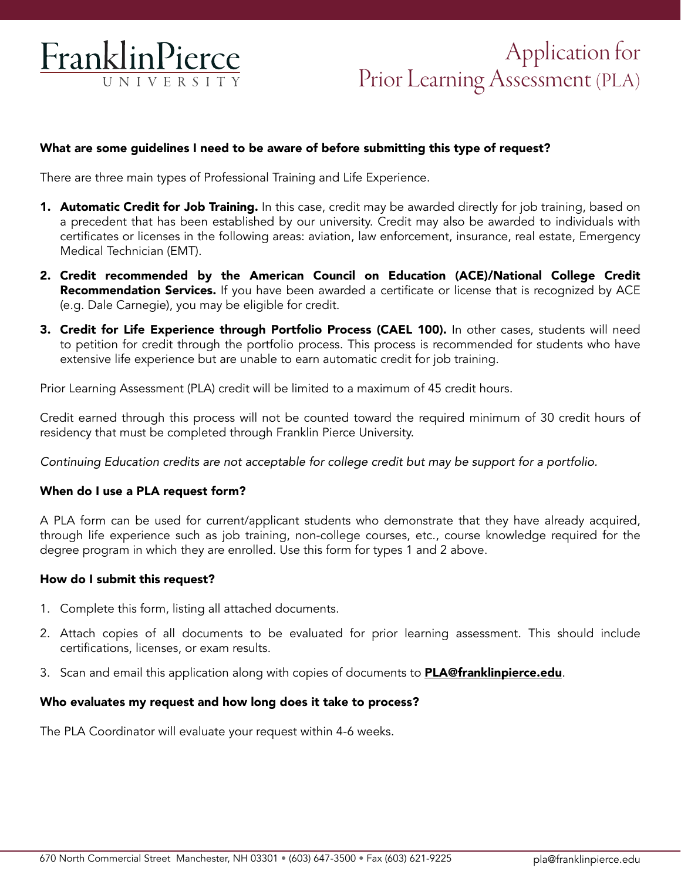

# Application for Prior Learning Assessment (PLA)

## What are some guidelines I need to be aware of before submitting this type of request?

There are three main types of Professional Training and Life Experience.

- **1. Automatic Credit for Job Training.** In this case, credit may be awarded directly for job training, based on a precedent that has been established by our university. Credit may also be awarded to individuals with certificates or licenses in the following areas: aviation, law enforcement, insurance, real estate, Emergency Medical Technician (EMT).
- 2. Credit recommended by the American Council on Education (ACE)/National College Credit **Recommendation Services.** If you have been awarded a certificate or license that is recognized by ACE (e.g. Dale Carnegie), you may be eligible for credit.
- 3. Credit for Life Experience through Portfolio Process (CAEL 100). In other cases, students will need to petition for credit through the portfolio process. This process is recommended for students who have extensive life experience but are unable to earn automatic credit for job training.

Prior Learning Assessment (PLA) credit will be limited to a maximum of 45 credit hours.

Credit earned through this process will not be counted toward the required minimum of 30 credit hours of residency that must be completed through Franklin Pierce University.

*Continuing Education credits are not acceptable for college credit but may be support for a portfolio.* 

#### When do I use a PLA request form?

A PLA form can be used for current/applicant students who demonstrate that they have already acquired, through life experience such as job training, non-college courses, etc., course knowledge required for the degree program in which they are enrolled. Use this form for types 1 and 2 above.

#### How do I submit this request?

- 1. Complete this form, listing all attached documents.
- 2. Attach copies of all documents to be evaluated for prior learning assessment. This should include certifications, licenses, or exam results.
- 3. Scan and email this application along with copies of documents to **[PLA@franklinpierce.edu](mailto:PLA%40franklinpierce.edu?subject=)**.

#### Who evaluates my request and how long does it take to process?

The PLA Coordinator will evaluate your request within 4-6 weeks.